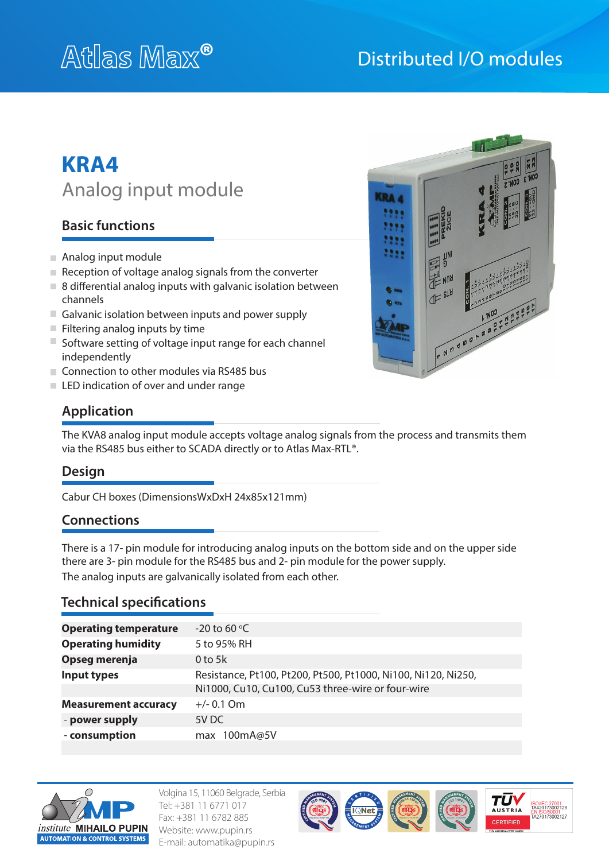## Distributed I/O modules

# **KRA4** Analog input module

## **Basic functions**

- Analog input module
- $\blacksquare$  Reception of voltage analog signals from the converter
- $\blacksquare$  8 differential analog inputs with galvanic isolation between channels
- Galvanic isolation between inputs and power supply
- $\blacksquare$  Filtering analog inputs by time
- $\blacksquare$  Software setting of voltage input range for each channel independently
- Connection to other modules via RS485 bus
- LED indication of over and under range



## **Application**

The KVA8 analog input module accepts voltage analog signals from the process and transmits them via the RS485 bus either to SCADA directly or to Atlas Max-RTL®.

#### **Design**

Cabur CH boxes (DimensionsWxDxH 24x85x121mm)

#### **Connections**

There is a 17- pin module for introducing analog inputs on the bottom side and on the upper side there are 3- pin module for the RS485 bus and 2- pin module for the power supply. The analog inputs are galvanically isolated from each other.

#### **Technical specifications**

| <b>Operating temperature</b> | $-20$ to 60 °C                                                |
|------------------------------|---------------------------------------------------------------|
| <b>Operating humidity</b>    | 5 to 95% RH                                                   |
| Opseg merenja                | 0 to 5 $k$                                                    |
| Input types                  | Resistance, Pt100, Pt200, Pt500, Pt1000, Ni100, Ni120, Ni250, |
|                              | Ni1000, Cu10, Cu100, Cu53 three-wire or four-wire             |
| <b>Measurement accuracy</b>  | $+/- 0.1$ Om                                                  |
| - power supply               | 5V DC                                                         |
| - consumption                | max 100mA@5V                                                  |



Volgina 15, 11060 Belgrade, Serbia Tel: +381 11 6771 017 Fax: +381 11 6782 885 Website: www.pupin.rs E-mail: automatika@pupin.rs